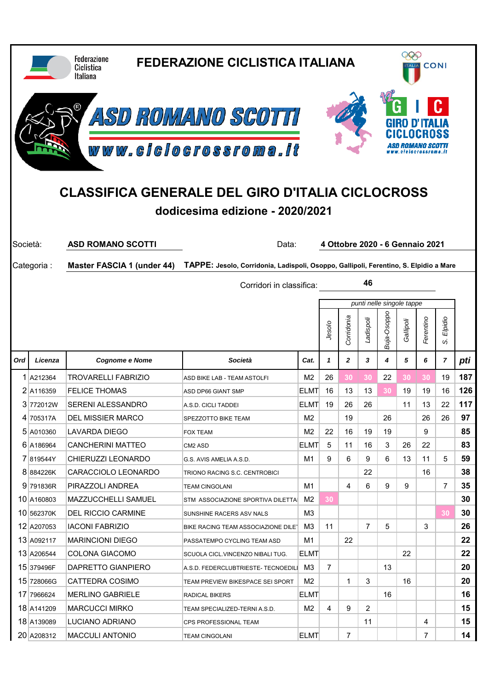|          |                                                                                            | <b>Federazione</b><br>Ciclistica<br><b>Italiana</b> | <b>FEDERAZIONE CICLISTICA ITALIANA</b>                                                |                   |                           |              |                | 999<br><b>CONI</b><br><b>ALIA</b> |           |                                 |                           |          |  |  |
|----------|--------------------------------------------------------------------------------------------|-----------------------------------------------------|---------------------------------------------------------------------------------------|-------------------|---------------------------|--------------|----------------|-----------------------------------|-----------|---------------------------------|---------------------------|----------|--|--|
|          |                                                                                            |                                                     | ASD ROMANO SCOTTI<br>www.clclocrossroma.lt                                            |                   |                           |              |                |                                   |           |                                 |                           |          |  |  |
|          | <b>CLASSIFICA GENERALE DEL GIRO D'ITALIA CICLOCROSS</b><br>dodicesima edizione - 2020/2021 |                                                     |                                                                                       |                   |                           |              |                |                                   |           |                                 |                           |          |  |  |
| Società: |                                                                                            | <b>ASD ROMANO SCOTTI</b>                            | Data:                                                                                 |                   |                           |              |                |                                   |           | 4 Ottobre 2020 - 6 Gennaio 2021 |                           |          |  |  |
|          | Categoria:                                                                                 | <b>Master FASCIA 1 (under 44)</b>                   | TAPPE: Jesolo, Corridonia, Ladispoli, Osoppo, Gallipoli, Ferentino, S. Elpidio a Mare |                   |                           |              |                |                                   |           |                                 |                           |          |  |  |
|          |                                                                                            | Corridori in classifica:                            |                                                                                       |                   |                           |              | 46             |                                   |           |                                 |                           |          |  |  |
|          |                                                                                            |                                                     |                                                                                       |                   | punti nelle singole tappe |              |                |                                   |           |                                 |                           |          |  |  |
|          |                                                                                            |                                                     |                                                                                       |                   | Jesolo                    | Corridonia   | Ladispoli      | Buja-Osoppo                       | Gallipoli | Ferentino                       | Elpidio<br>$\dot{\omega}$ |          |  |  |
| Ord      | Licenza                                                                                    | <b>Cognome e Nome</b>                               | Società                                                                               | Cat.              | 1                         | $\mathbf{z}$ |                |                                   |           |                                 | 7                         |          |  |  |
|          |                                                                                            |                                                     |                                                                                       |                   |                           |              | 3              | 4                                 | 5         | 6                               |                           | pti      |  |  |
|          | 1 A212364                                                                                  | <b>TROVARELLI FABRIZIO</b>                          | ASD BIKE LAB - TEAM ASTOLFI                                                           | M <sub>2</sub>    | 26                        | 30           | 30             | 22                                | 30        | 30                              | 19                        | 187      |  |  |
|          | 2 A116359                                                                                  | <b>FELICE THOMAS</b>                                | ASD DP66 GIANT SMP                                                                    | <b>ELMT</b>       | 16                        | 13           | 13             | 30                                | 19        | 19                              | 16                        | 126      |  |  |
|          | 3 772012W                                                                                  | <b>SERENI ALESSANDRO</b>                            | A.S.D. CICLI TADDEI                                                                   | <b>ELMT</b>       | 19                        | 26           | 26             |                                   | 11        | 13                              | 22                        | 117      |  |  |
|          | 4 705317A                                                                                  | <b>DEL MISSIER MARCO</b>                            | SPEZZOTTO BIKE TEAM                                                                   | M2                |                           | 19           |                | 26                                |           | 26                              | 26                        | 97       |  |  |
|          | 5 A010360                                                                                  | LAVARDA DIEGO                                       | <b>FOX TEAM</b>                                                                       | M2                | 22                        | 16           | 19             | 19                                |           | 9                               |                           | 85       |  |  |
|          | 6 A186964                                                                                  | <b>CANCHERINI MATTEO</b>                            | CM2 ASD                                                                               | <b>ELMT</b>       | 5                         | 11           | 16             | 3                                 | 26        | 22                              |                           | 83       |  |  |
|          | 7819544Y                                                                                   | CHIERUZZI LEONARDO                                  | G.S. AVIS AMELIA A.S.D.                                                               | M1                | 9                         | 6            | 9              | 6                                 | 13        | 11                              | 5                         | 59       |  |  |
|          | 8884226K                                                                                   | CARACCIOLO LEONARDO                                 | TRIONO RACING S.C. CENTROBICI                                                         |                   |                           |              | 22             |                                   |           | 16                              |                           | 38       |  |  |
|          | 9 791836R                                                                                  | PIRAZZOLI ANDREA                                    | <b>TEAM CINGOLANI</b>                                                                 | M1                |                           | 4            | 6              | 9                                 | 9         |                                 | $\overline{7}$            | 35       |  |  |
|          | 10 A160803                                                                                 | MAZZUCCHELLI SAMUEL                                 | STM ASSOCIAZIONE SPORTIVA DILETTA                                                     | M2                | 30                        |              |                |                                   |           |                                 |                           | 30       |  |  |
|          | 10 562370K                                                                                 | <b>DEL RICCIO CARMINE</b>                           | SUNSHINE RACERS ASV NALS                                                              | ΜЗ                |                           |              |                |                                   |           |                                 | 30                        | 30       |  |  |
|          | 12 A207053                                                                                 | <b>IACONI FABRIZIO</b>                              | BIKE RACING TEAM ASSOCIAZIONE DILET                                                   | M3                | 11                        |              | $\overline{7}$ | 5                                 |           | 3                               |                           | 26       |  |  |
|          | 13 A092117                                                                                 | <b>MARINCIONI DIEGO</b>                             | PASSATEMPO CYCLING TEAM ASD                                                           | M1                |                           | 22           |                |                                   |           |                                 |                           | 22       |  |  |
|          | 13 A206544                                                                                 | <b>COLONA GIACOMO</b>                               | SCUOLA CICL.VINCENZO NIBALI TUG.                                                      | <b>ELMT</b><br>ΜЗ |                           |              |                | 13                                | 22        |                                 |                           | 22       |  |  |
|          | 15 379496F<br>15 728066G                                                                   | DAPRETTO GIANPIERO<br><b>CATTEDRA COSIMO</b>        | A.S.D. FEDERCLUBTRIESTE- TECNOEDILI<br>TEAM PREVIEW BIKESPACE SEI SPORT               |                   | $\overline{7}$            | 1            | 3              |                                   | 16        |                                 |                           | 20       |  |  |
|          | 17 7966624                                                                                 | <b>MERLINO GABRIELE</b>                             | RADICAL BIKERS                                                                        | M2<br><b>ELMT</b> |                           |              |                | 16                                |           |                                 |                           | 20<br>16 |  |  |
|          | 18 A141209                                                                                 | <b>MARCUCCI MIRKO</b>                               | TEAM SPECIALIZED-TERNI A.S.D.                                                         | M2                | 4                         | 9            | $\overline{2}$ |                                   |           |                                 |                           | 15       |  |  |
|          | 18 A139089                                                                                 | LUCIANO ADRIANO                                     | CPS PROFESSIONAL TEAM                                                                 |                   |                           |              | 11             |                                   |           | 4                               |                           | 15       |  |  |